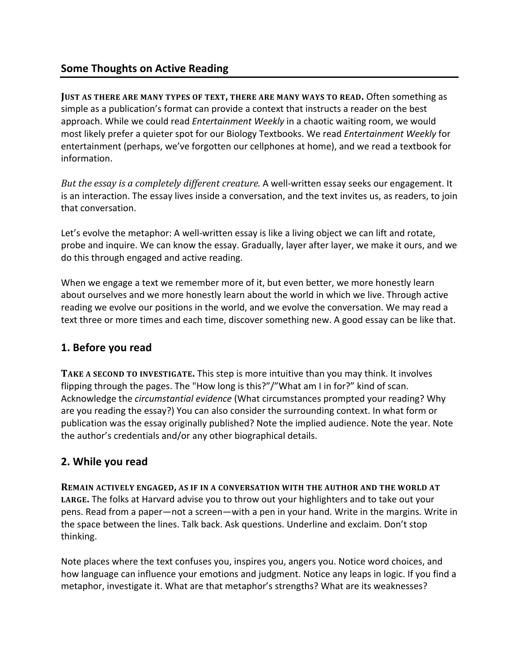## **Some Thoughts on Active Reading**

**JUST AS THERE ARE MANY TYPES OF TEXT, THERE ARE MANY WAYS TO READ. Often something as** simple as a publication's format can provide a context that instructs a reader on the best approach. While we could read *Entertainment Weekly* in a chaotic waiting room, we would most likely prefer a quieter spot for our Biology Textbooks. We read *Entertainment Weekly* for entertainment (perhaps, we've forgotten our cellphones at home), and we read a textbook for information. 

*But the essay is a completely different creature.* A well-written essay seeks our engagement. It is an interaction. The essay lives inside a conversation, and the text invites us, as readers, to join that conversation.

Let's evolve the metaphor: A well-written essay is like a living object we can lift and rotate, probe and inquire. We can know the essay. Gradually, layer after layer, we make it ours, and we do this through engaged and active reading.

When we engage a text we remember more of it, but even better, we more honestly learn about ourselves and we more honestly learn about the world in which we live. Through active reading we evolve our positions in the world, and we evolve the conversation. We may read a text three or more times and each time, discover something new. A good essay can be like that.

### **1. Before you read**

**TAKE A SECOND TO INVESTIGATE.** This step is more intuitive than you may think. It involves flipping through the pages. The "How long is this?"/"What am I in for?" kind of scan. Acknowledge the *circumstantial evidence* (What circumstances prompted your reading? Why are you reading the essay?) You can also consider the surrounding context. In what form or publication was the essay originally published? Note the implied audience. Note the year. Note the author's credentials and/or any other biographical details.

### **2. While you read**

**REMAIN ACTIVELY ENGAGED, AS IF IN A CONVERSATION WITH THE AUTHOR AND THE WORLD AT** LARGE. The folks at Harvard advise you to throw out your highlighters and to take out your pens. Read from a paper—not a screen—with a pen in your hand. Write in the margins. Write in the space between the lines. Talk back. Ask questions. Underline and exclaim. Don't stop thinking. 

Note places where the text confuses you, inspires you, angers you. Notice word choices, and how language can influence your emotions and judgment. Notice any leaps in logic. If you find a metaphor, investigate it. What are that metaphor's strengths? What are its weaknesses?